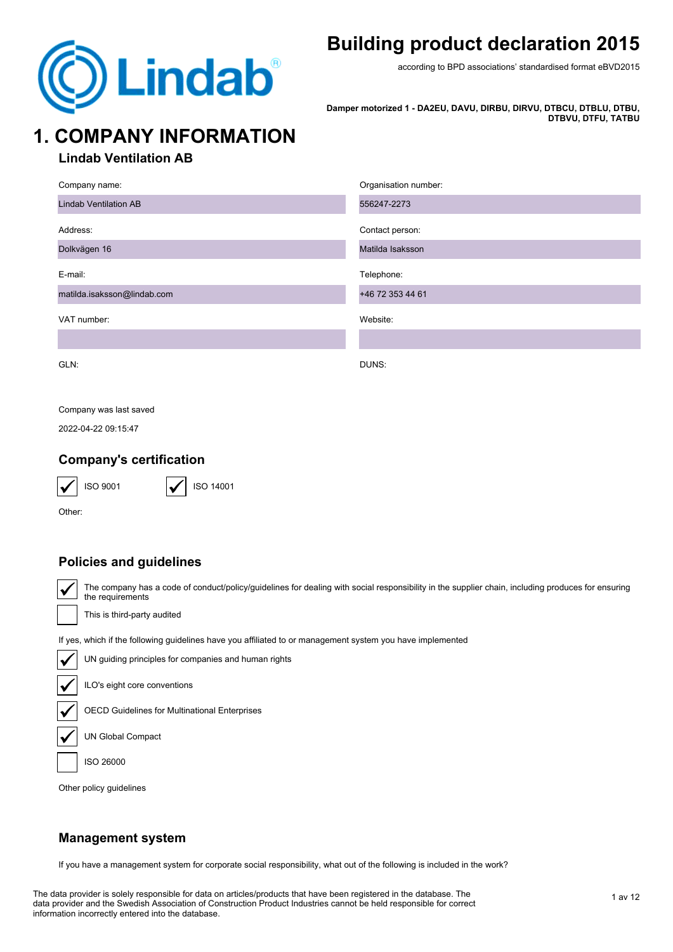

## **Building product declaration 2015**

according to BPD associations' standardised format eBVD2015

**Damper motorized 1 - DA2EU, DAVU, DIRBU, DIRVU, DTBCU, DTBLU, DTBU, DTBVU, DTFU, TATBU**

# **1. COMPANY INFORMATION**

### **Lindab Ventilation AB**

| Company name:                | Organisation number: |
|------------------------------|----------------------|
| <b>Lindab Ventilation AB</b> | 556247-2273          |
| Address:                     | Contact person:      |
| Dolkvägen 16                 | Matilda Isaksson     |
| E-mail:                      | Telephone:           |
| matilda.isaksson@lindab.com  | +46 72 353 44 61     |
| VAT number:                  | Website:             |
|                              |                      |
| GLN:                         | DUNS:                |

#### Company was last saved

2022-04-22 09:15:47

### **Company's certification**



ISO 14001

Other:

### **Policies and guidelines**

The company has a code of conduct/policy/guidelines for dealing with social responsibility in the supplier chain, including produces for ensuring the requirements

This is third-party audited

If yes, which if the following guidelines have you affiliated to or management system you have implemented



UN guiding principles for companies and human rights

ILO's eight core conventions

OECD Guidelines for Multinational Enterprises

UN Global Compact

ISO 26000

Other policy guidelines

### **Management system**

If you have a management system for corporate social responsibility, what out of the following is included in the work?

The data provider is solely responsible for data on articles/products that have been registered in the database. The data provider and the Swedish Association of Construction Product Industries cannot be held responsible for correct information incorrectly entered into the database.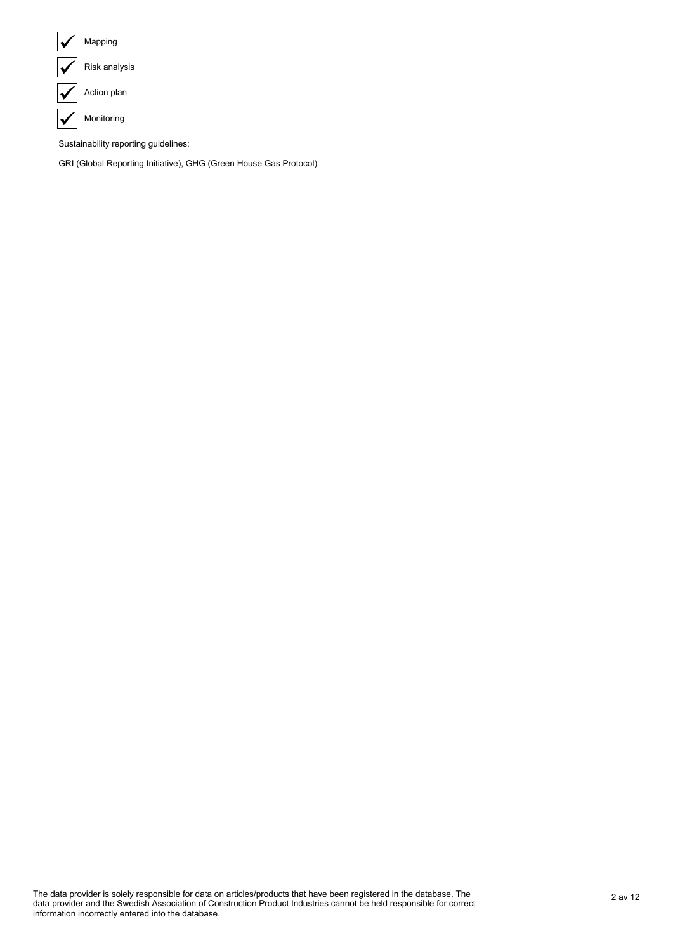

Sustainability reporting guidelines:

GRI (Global Reporting Initiative), GHG (Green House Gas Protocol)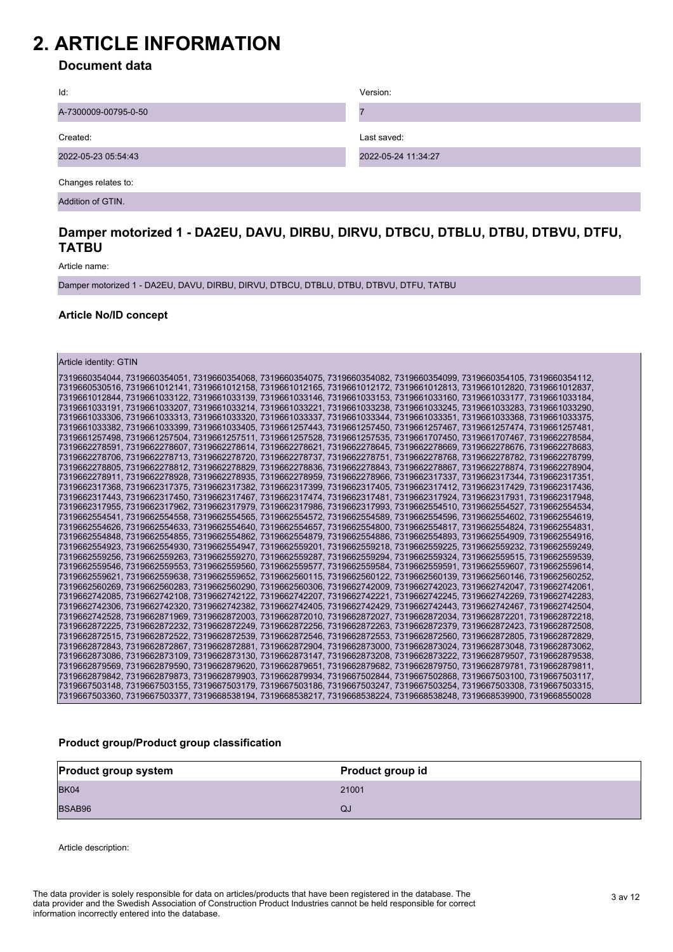## **2. ARTICLE INFORMATION**

### **Document data**

| Id:                  | Version:            |
|----------------------|---------------------|
| A-7300009-00795-0-50 |                     |
| Created:             | Last saved:         |
| 2022-05-23 05:54:43  | 2022-05-24 11:34:27 |
| Changes relates to:  |                     |
| Addition of GTIN.    |                     |

#### **Damper motorized 1 - DA2EU, DAVU, DIRBU, DIRVU, DTBCU, DTBLU, DTBU, DTBVU, DTFU, TATBU**

Article name:

Damper motorized 1 - DA2EU, DAVU, DIRBU, DIRVU, DTBCU, DTBLU, DTBU, DTBVU, DTFU, TATBU

#### **Article No/ID concept**

Article identity: GTIN

| 7319660354044, 7319660354051, 7319660354068, 7319660354075, 7319660354082, 7319660354099, 7319660354105, 7319660354112, |  |  |  |
|-------------------------------------------------------------------------------------------------------------------------|--|--|--|
| 7319660530516, 7319661012141, 7319661012158, 7319661012165, 7319661012172, 7319661012813, 7319661012820, 7319661012837, |  |  |  |
| 7319661012844.7319661033122.7319661033139.7319661033146.7319661033153.7319661033160.7319661033177.7319661033184.        |  |  |  |
| 7319661033191, 7319661033207, 7319661033214, 7319661033221, 7319661033238, 7319661033245, 7319661033283, 7319661033290, |  |  |  |
| 7319661033306. 7319661033313. 7319661033320. 7319661033337. 7319661033344. 7319661033351. 7319661033368. 7319661033375. |  |  |  |
| 7319661033382, 7319661033399, 7319661033405, 7319661257443, 7319661257450, 7319661257467, 7319661257474, 7319661257481, |  |  |  |
| 7319661257498, 7319661257504, 7319661257511, 7319661257528, 7319661257535, 7319661707450, 7319661707467, 7319662278584, |  |  |  |
| 7319662278591, 7319662278607, 7319662278614, 7319662278621, 7319662278645, 7319662278669, 7319662278676, 7319662278683, |  |  |  |
| 7319662278706, 7319662278713, 7319662278720, 7319662278737, 7319662278751, 7319662278768, 7319662278782, 7319662278799, |  |  |  |
| 17319662278805.7319662278812.7319662278829.7319662278836.7319662278843.7319662278867.7319662278874.7319662278904.       |  |  |  |
| 7319662278911, 7319662278928, 7319662278935, 7319662278959, 7319662278966, 7319662317337, 7319662317344, 7319662317351, |  |  |  |
| 7319662317368. 7319662317375. 7319662317382. 7319662317399. 7319662317405. 7319662317412. 7319662317429. 7319662317436. |  |  |  |
| 7319662317443, 7319662317450, 7319662317467, 7319662317474, 7319662317481, 7319662317924, 7319662317931, 7319662317948, |  |  |  |
| 7319662317955, 7319662317962, 7319662317979, 7319662317986, 7319662317993, 7319662554510, 7319662554527, 7319662554534, |  |  |  |
| 7319662554541, 7319662554558, 7319662554565, 7319662554572, 7319662554589, 7319662554596, 7319662554602, 7319662554619, |  |  |  |
| 7319662554626. 7319662554633. 7319662554640. 7319662554657. 7319662554800. 7319662554817. 7319662554824. 7319662554831. |  |  |  |
| 7319662554848, 7319662554855, 7319662554862, 7319662554879, 7319662554886, 7319662554893, 7319662554909, 7319662554916, |  |  |  |
| 7319662554923, 7319662554930, 7319662554947, 7319662559201, 7319662559218, 7319662559225, 7319662559232, 7319662559249, |  |  |  |
| 7319662559256, 7319662559263, 7319662559270, 7319662559287, 7319662559294, 7319662559324, 7319662559515, 7319662559539, |  |  |  |
| 7319662559546, 7319662559553, 7319662559560, 7319662559577, 7319662559584, 7319662559591, 7319662559607, 7319662559614, |  |  |  |
| 7319662559621, 7319662559638, 7319662559652, 7319662560115, 7319662560122, 7319662560139, 7319662560146, 7319662560252, |  |  |  |
| 7319662560269, 7319662560283, 7319662560290, 7319662560306, 7319662742009, 7319662742023, 7319662742047, 7319662742061, |  |  |  |
| 7319662742085. 7319662742108. 7319662742122. 7319662742207. 7319662742221. 7319662742245. 7319662742269. 7319662742283. |  |  |  |
| 7319662742306, 7319662742320, 7319662742382, 7319662742405, 7319662742429, 7319662742443, 7319662742467, 7319662742504, |  |  |  |
| 7319662742528, 7319662871969, 7319662872003, 7319662872010, 7319662872027, 7319662872034, 7319662872201, 7319662872218, |  |  |  |
| 7319662872225, 7319662872232, 7319662872249, 7319662872256, 7319662872263, 7319662872379, 7319662872423, 7319662872508, |  |  |  |
| 7319662872515, 7319662872522, 7319662872539, 7319662872546, 7319662872553, 7319662872560, 7319662872805, 7319662872829, |  |  |  |
| 7319662872843, 7319662872867, 7319662872881, 7319662872904, 7319662873000, 7319662873024, 7319662873048, 7319662873062, |  |  |  |
| 7319662873086, 7319662873109, 7319662873130, 7319662873147, 7319662873208, 7319662873222, 7319662879507, 7319662879538, |  |  |  |
| 7319662879569, 7319662879590, 7319662879620, 7319662879651, 7319662879682, 7319662879750, 7319662879781, 7319662879811, |  |  |  |
| 7319662879842, 7319662879873, 7319662879903, 7319662879934, 7319667502844, 7319667502868, 7319667503100, 7319667503117, |  |  |  |
| 7319667503148, 7319667503155, 7319667503179, 7319667503186, 7319667503247, 7319667503254, 7319667503308, 7319667503315, |  |  |  |
| 7319667503360. 7319667503377. 7319668538194. 7319668538217. 7319668538224. 7319668538248. 7319668539900. 7319668550028  |  |  |  |

#### **Product group/Product group classification**

| <b>Product group system</b> | Product group id |
|-----------------------------|------------------|
| <b>BK04</b>                 | 21001            |
| BSAB96                      | QJ               |

Article description:

3 av 12 The data provider is solely responsible for data on articles/products that have been registered in the database. The data provider and the Swedish Association of Construction Product Industries cannot be held responsible for correct information incorrectly entered into the database.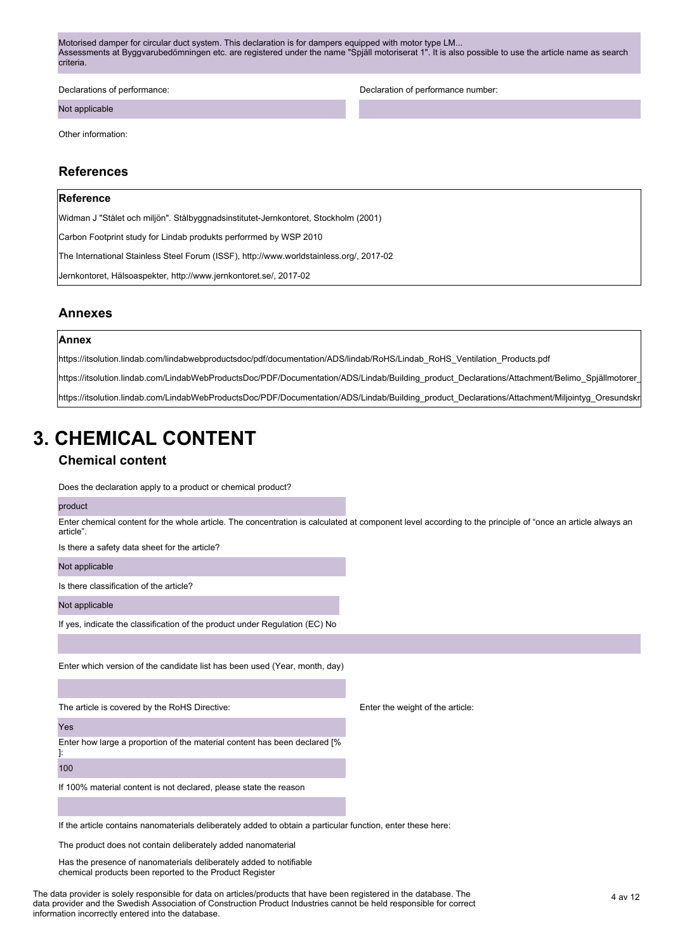Motorised damper for circular duct system. This declaration is for dampers equipped with motor type LM... Assessments at Byggvarubedömningen etc. are registered under the name "Spjäll motoriserat 1". It is also possible to use the article name as search criteria.

Not applicable

Declarations of performance: Declaration of performance number:

Other information:

#### **References**

#### **Reference**

Widman J "Stålet och miljön". Stålbyggnadsinstitutet-Jernkontoret, Stockholm (2001)

Carbon Footprint study for Lindab produkts perforrmed by WSP 2010

The International Stainless Steel Forum (ISSF), http://www.worldstainless.org/, 2017-02

Jernkontoret, Hälsoaspekter, http://www.jernkontoret.se/, 2017-02

#### **Annexes**

#### **Annex**

https://itsolution.lindab.com/lindabwebproductsdoc/pdf/documentation/ADS/lindab/RoHS/Lindab\_RoHS\_Ventilation\_Products.pdf

https://itsolution.lindab.com/LindabWebProductsDoc/PDF/Documentation/ADS/Lindab/Building\_product\_Declarations/Attachment/Belimo\_Spjällmotorer\_

lnttps://itsolution.lindab.com/LindabWebProductsDoc/PDF/Documentation/ADS/Lindab/Building\_product\_Declarations/Attachment/Miliointyg\_Oresundskr

# **3. CHEMICAL CONTENT**

#### **Chemical content**

Does the declaration apply to a product or chemical product?

#### product

Enter chemical content for the whole article. The concentration is calculated at component level according to the principle of "once an article always an article".

Is there a safety data sheet for the article?

Not applicable

Is there classification of the article?

Not applicable

If yes, indicate the classification of the product under Regulation (EC) No

Enter which version of the candidate list has been used (Year, month, day)

The article is covered by the RoHS Directive:

Yes

Enter how large a proportion of the material content has been declared [%

]: 100

If 100% material content is not declared, please state the reason

Enter the weight of the article:

If the article contains nanomaterials deliberately added to obtain a particular function, enter these here:

The product does not contain deliberately added nanomaterial

Has the presence of nanomaterials deliberately added to notifiable chemical products been reported to the Product Register

The data provider is solely responsible for data on articles/products that have been registered in the database. The 4 av 12 data provider and the Swedish Association of Construction Product Industries cannot be held responsible for correct information incorrectly entered into the database.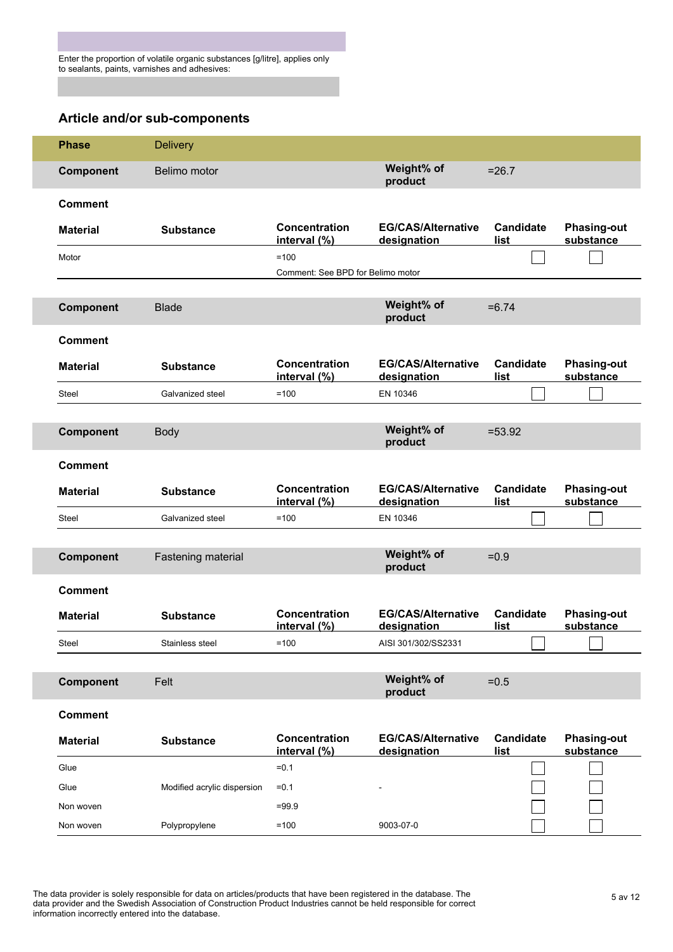### **Article and/or sub-components**

| <b>Phase</b>     | <b>Delivery</b>             |                                             |                                          |                                 |                                 |
|------------------|-----------------------------|---------------------------------------------|------------------------------------------|---------------------------------|---------------------------------|
| <b>Component</b> | Belimo motor                |                                             | Weight% of<br>product                    | $= 26.7$                        |                                 |
| <b>Comment</b>   |                             |                                             |                                          |                                 |                                 |
| <b>Material</b>  | <b>Substance</b>            | <b>Concentration</b><br>interval (%)        | <b>EG/CAS/Alternative</b><br>designation | <b>Candidate</b><br>list        | <b>Phasing-out</b><br>substance |
| Motor            |                             | $=100$<br>Comment: See BPD for Belimo motor |                                          |                                 |                                 |
|                  |                             |                                             |                                          |                                 |                                 |
| <b>Component</b> | <b>Blade</b>                |                                             | Weight% of<br>product                    | $= 6.74$                        |                                 |
| <b>Comment</b>   |                             |                                             |                                          |                                 |                                 |
| <b>Material</b>  | <b>Substance</b>            | Concentration<br>interval (%)               | <b>EG/CAS/Alternative</b><br>designation | <b>Candidate</b><br>list        | <b>Phasing-out</b><br>substance |
| <b>Steel</b>     | Galvanized steel            | $=100$                                      | EN 10346                                 |                                 |                                 |
|                  |                             |                                             |                                          |                                 |                                 |
| <b>Component</b> | <b>Body</b>                 |                                             | Weight% of<br>product                    | $= 53.92$                       |                                 |
| <b>Comment</b>   |                             |                                             |                                          |                                 |                                 |
| <b>Material</b>  | <b>Substance</b>            | Concentration<br>interval (%)               | <b>EG/CAS/Alternative</b><br>designation | <b>Candidate</b><br>list        | <b>Phasing-out</b><br>substance |
| Steel            | Galvanized steel            | $=100$                                      | EN 10346                                 |                                 |                                 |
|                  |                             |                                             |                                          |                                 |                                 |
| <b>Component</b> | Fastening material          |                                             | Weight% of<br>product                    | $=0.9$                          |                                 |
| <b>Comment</b>   |                             |                                             |                                          |                                 |                                 |
| <b>Material</b>  | <b>Substance</b>            | <b>Concentration</b><br>interval (%)        | <b>EG/CAS/Alternative</b><br>designation | <b>Candidate</b><br>list        | <b>Phasing-out</b><br>substance |
| Steel            | Stainless steel             | $=100$                                      | AISI 301/302/SS2331                      |                                 |                                 |
|                  |                             |                                             |                                          |                                 |                                 |
| Component        | Felt                        |                                             | Weight% of<br>product                    | $=0.5$                          |                                 |
| <b>Comment</b>   |                             |                                             |                                          |                                 |                                 |
| <b>Material</b>  | <b>Substance</b>            | Concentration<br>interval (%)               | <b>EG/CAS/Alternative</b><br>designation | <b>Candidate</b><br><u>list</u> | <b>Phasing-out</b><br>substance |
| Glue             |                             | $=0.1$                                      |                                          |                                 |                                 |
| Glue             | Modified acrylic dispersion | $= 0.1$                                     |                                          |                                 |                                 |
| Non woven        |                             | $=99.9$                                     |                                          |                                 |                                 |
| Non woven        | Polypropylene               | $=100$                                      | 9003-07-0                                |                                 |                                 |

The data provider is solely responsible for data on articles/products that have been registered in the database. The 5 av 12 data provider and the Swedish Association of Construction Product Industries cannot be held responsible for correct information incorrectly entered into the database.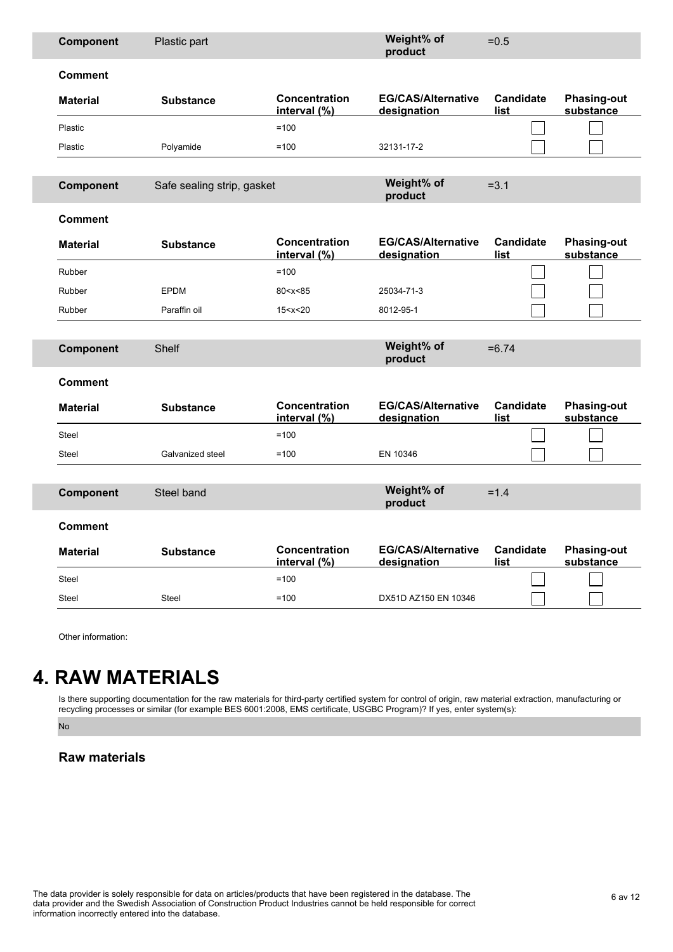| Component       | Plastic part               |                               | Weight% of<br>product                    | $=0.5$                   |                                 |
|-----------------|----------------------------|-------------------------------|------------------------------------------|--------------------------|---------------------------------|
| <b>Comment</b>  |                            |                               |                                          |                          |                                 |
| <b>Material</b> | <b>Substance</b>           | Concentration<br>interval (%) | <b>EG/CAS/Alternative</b><br>designation | <b>Candidate</b><br>list | <b>Phasing-out</b><br>substance |
| Plastic         |                            | $=100$                        |                                          |                          |                                 |
| Plastic         | Polyamide                  | $=100$                        | 32131-17-2                               |                          |                                 |
|                 |                            |                               |                                          |                          |                                 |
| Component       | Safe sealing strip, gasket |                               | Weight% of<br>product                    | $= 3.1$                  |                                 |
| <b>Comment</b>  |                            |                               |                                          |                          |                                 |
| <b>Material</b> | <b>Substance</b>           | Concentration<br>interval (%) | <b>EG/CAS/Alternative</b><br>designation | <b>Candidate</b><br>list | <b>Phasing-out</b><br>substance |
| Rubber          |                            | $=100$                        |                                          |                          |                                 |
| Rubber          | <b>EPDM</b>                | 80 < x < 85                   | 25034-71-3                               |                          |                                 |
| Rubber          | Paraffin oil               | 15 < x < 20                   | 8012-95-1                                |                          |                                 |
|                 |                            |                               |                                          |                          |                                 |
|                 |                            |                               |                                          |                          |                                 |
| Component       | Shelf                      |                               | Weight% of<br>product                    | $= 6.74$                 |                                 |
| <b>Comment</b>  |                            |                               |                                          |                          |                                 |
| <b>Material</b> | <b>Substance</b>           | <b>Concentration</b>          | <b>EG/CAS/Alternative</b>                | <b>Candidate</b><br>list | <b>Phasing-out</b><br>substance |
| Steel           |                            | interval (%)<br>$=100$        | designation                              |                          |                                 |
| <b>Steel</b>    | Galvanized steel           | $=100$                        | EN 10346                                 |                          |                                 |
|                 |                            |                               |                                          |                          |                                 |
| Component       | Steel band                 |                               | Weight% of<br>product                    | $=1.4$                   |                                 |
| <b>Comment</b>  |                            |                               |                                          |                          |                                 |
| <b>Material</b> | <b>Substance</b>           | Concentration<br>interval (%) | <b>EG/CAS/Alternative</b><br>designation | <b>Candidate</b><br>list | <b>Phasing-out</b><br>substance |
| <b>Steel</b>    |                            | $=100$                        |                                          |                          |                                 |
| <b>Steel</b>    | <b>Steel</b>               | $=100$                        | DX51D AZ150 EN 10346                     |                          |                                 |

Other information:

# **4. RAW MATERIALS**

Is there supporting documentation for the raw materials for third-party certified system for control of origin, raw material extraction, manufacturing or recycling processes or similar (for example BES 6001:2008, EMS certificate, USGBC Program)? If yes, enter system(s):

No

### **Raw materials**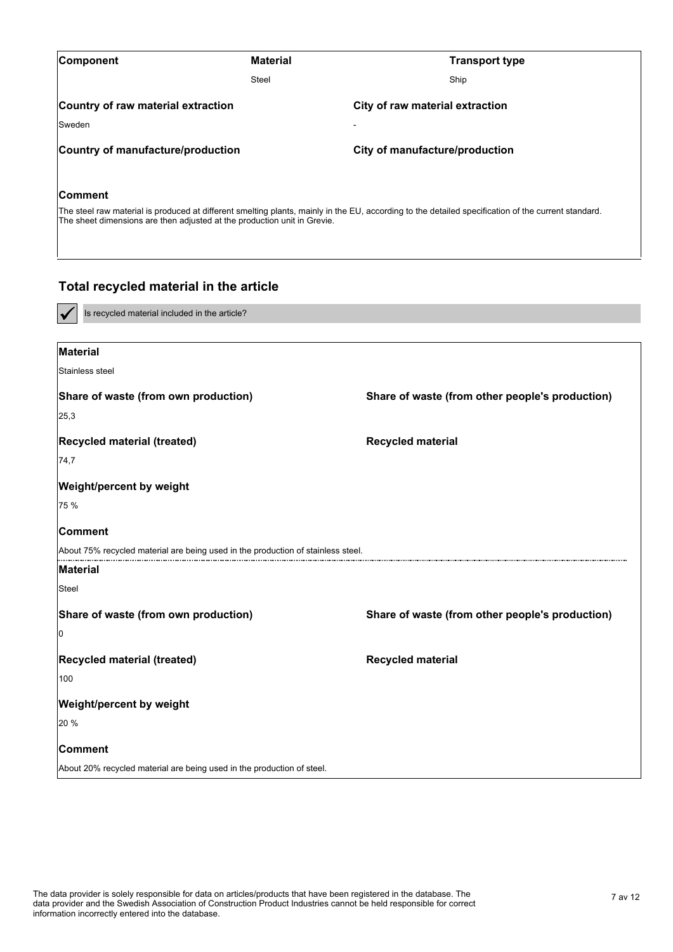| <b>Component</b>                                                         | <b>Material</b> | <b>Transport type</b>                                                                                                                               |
|--------------------------------------------------------------------------|-----------------|-----------------------------------------------------------------------------------------------------------------------------------------------------|
|                                                                          | Steel           | Ship                                                                                                                                                |
| Country of raw material extraction                                       |                 | City of raw material extraction                                                                                                                     |
| <b>Sweden</b>                                                            |                 |                                                                                                                                                     |
| Country of manufacture/production                                        |                 | City of manufacture/production                                                                                                                      |
| <b>Comment</b>                                                           |                 |                                                                                                                                                     |
| The sheet dimensions are then adjusted at the production unit in Grevie. |                 | The steel raw material is produced at different smelting plants, mainly in the EU, according to the detailed specification of the current standard. |

### **Total recycled material in the article**

Is recycled material included in the article?

| <b>Material</b>                                                                  |                                                 |
|----------------------------------------------------------------------------------|-------------------------------------------------|
| Stainless steel                                                                  |                                                 |
| Share of waste (from own production)                                             | Share of waste (from other people's production) |
| 25,3                                                                             |                                                 |
| Recycled material (treated)                                                      | <b>Recycled material</b>                        |
| 74,7                                                                             |                                                 |
| <b>Weight/percent by weight</b>                                                  |                                                 |
| 75 %                                                                             |                                                 |
| <b>Comment</b>                                                                   |                                                 |
| About 75% recycled material are being used in the production of stainless steel. |                                                 |
| <b>Material</b>                                                                  |                                                 |
| Steel                                                                            |                                                 |
| Share of waste (from own production)                                             | Share of waste (from other people's production) |
| 10                                                                               |                                                 |
| Recycled material (treated)                                                      | <b>Recycled material</b>                        |
| 100                                                                              |                                                 |
| Weight/percent by weight                                                         |                                                 |
| 20 %                                                                             |                                                 |
| Comment                                                                          |                                                 |
| About 20% recycled material are being used in the production of steel.           |                                                 |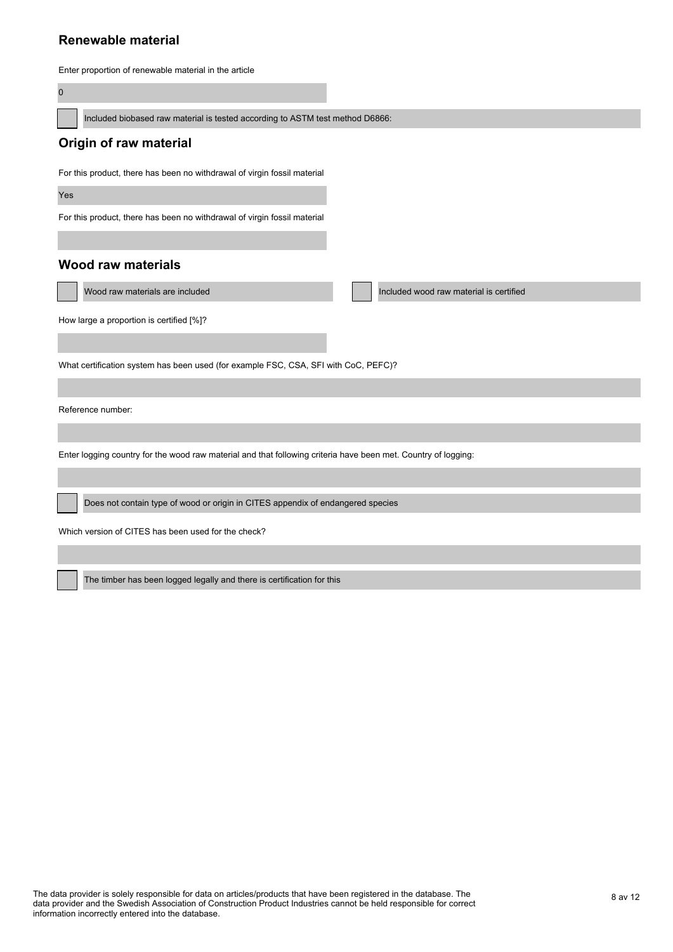#### **Renewable material**

Enter proportion of renewable material in the article

 $\overline{0}$ 

Included biobased raw material is tested according to ASTM test method D6866:

#### **Origin of raw material**

For this product, there has been no withdrawal of virgin fossil material

Yes

For this product, there has been no withdrawal of virgin fossil material

#### **Wood raw materials**

Wood raw materials are included **Included** Included wood raw material is certified

How large a proportion is certified [%]?

What certification system has been used (for example FSC, CSA, SFI with CoC, PEFC)?

Reference number:

Enter logging country for the wood raw material and that following criteria have been met. Country of logging:

Does not contain type of wood or origin in CITES appendix of endangered species

Which version of CITES has been used for the check?

The timber has been logged legally and there is certification for this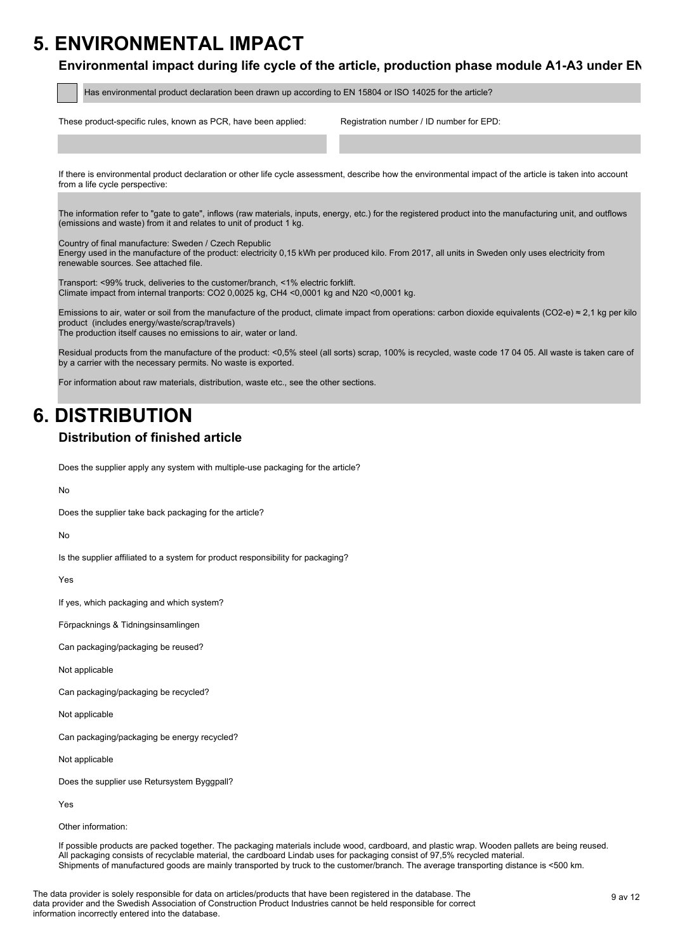## **5. ENVIRONMENTAL IMPACT**

#### Environmental impact during life cycle of the article, production phase module A1-A3 under EN

Has environmental product declaration been drawn up according to EN 15804 or ISO 14025 for the article?

These product-specific rules, known as PCR, have been applied: Registration number / ID number for EPD:

If there is environmental product declaration or other life cycle assessment, describe how the environmental impact of the article is taken into account from a life cycle perspective:

The information refer to "gate to gate", inflows (raw materials, inputs, energy, etc.) for the registered product into the manufacturing unit, and outflows (emissions and waste) from it and relates to unit of product 1 kg.

Country of final manufacture: Sweden / Czech Republic

Energy used in the manufacture of the product: electricity 0,15 kWh per produced kilo. From 2017, all units in Sweden only uses electricity from renewable sources. See attached file.

Transport: <99% truck, deliveries to the customer/branch, <1% electric forklift. Climate impact from internal tranports: CO2 0,0025 kg, CH4 <0,0001 kg and N20 <0,0001 kg.

Emissions to air, water or soil from the manufacture of the product, climate impact from operations: carbon dioxide equivalents (CO2-e)  $\approx$  2,1 kg per kilo product (includes energy/waste/scrap/travels)

The production itself causes no emissions to air, water or land.

Residual products from the manufacture of the product: <0,5% steel (all sorts) scrap, 100% is recycled, waste code 17 04 05. All waste is taken care of by a carrier with the necessary permits. No waste is exported.

For information about raw materials, distribution, waste etc., see the other sections.

## **6. DISTRIBUTION**

### **Distribution of finished article**

Does the supplier apply any system with multiple-use packaging for the article?

No

Does the supplier take back packaging for the article?

No

Is the supplier affiliated to a system for product responsibility for packaging?

Yes

If yes, which packaging and which system?

Förpacknings & Tidningsinsamlingen

Can packaging/packaging be reused?

Not applicable

Can packaging/packaging be recycled?

Not applicable

Can packaging/packaging be energy recycled?

Not applicable

Does the supplier use Retursystem Byggpall?

Yes

Other information:

If possible products are packed together. The packaging materials include wood, cardboard, and plastic wrap. Wooden pallets are being reused. All packaging consists of recyclable material, the cardboard Lindab uses for packaging consist of 97,5% recycled material. Shipments of manufactured goods are mainly transported by truck to the customer/branch. The average transporting distance is <500 km.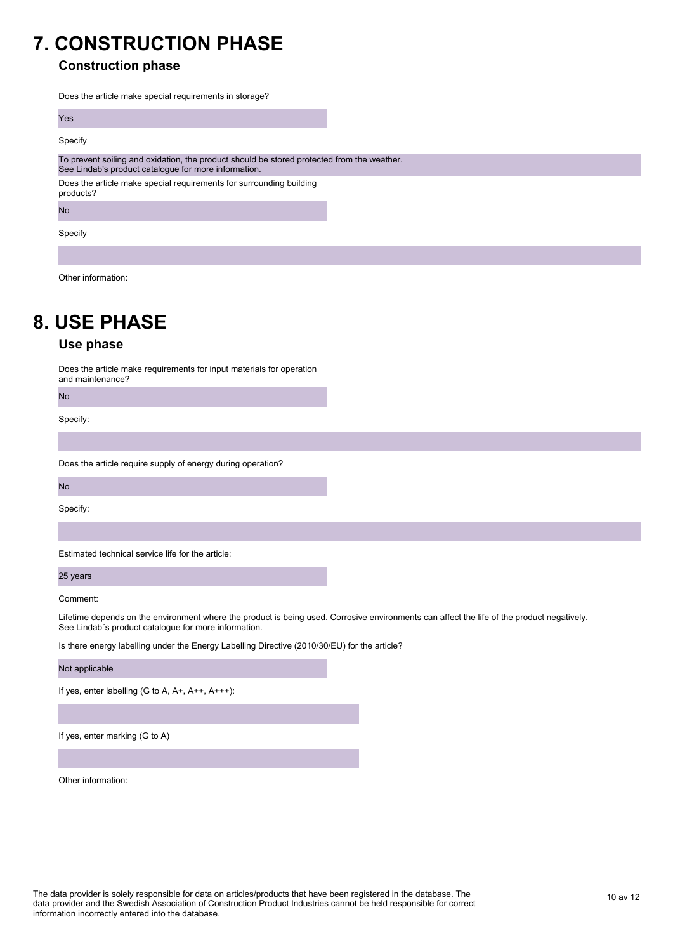## **7. CONSTRUCTION PHASE**

### **Construction phase**

Does the article make special requirements in storage?

| Yes                                                                                                                                                |  |
|----------------------------------------------------------------------------------------------------------------------------------------------------|--|
| Specify                                                                                                                                            |  |
| To prevent soiling and oxidation, the product should be stored protected from the weather.<br>See Lindab's product catalogue for more information. |  |
| Does the article make special requirements for surrounding building<br>products?                                                                   |  |
| <b>No</b>                                                                                                                                          |  |
| Specify                                                                                                                                            |  |
|                                                                                                                                                    |  |

Other information:

# **8. USE PHASE**

#### **Use phase**

Does the article make requirements for input materials for operation and maintenance?

No

Specify:

Does the article require supply of energy during operation?

No

Specify:

Estimated technical service life for the article:

25 years

Comment:

Lifetime depends on the environment where the product is being used. Corrosive environments can affect the life of the product negatively. See Lindab´s product catalogue for more information.

Is there energy labelling under the Energy Labelling Directive (2010/30/EU) for the article?

Not applicable

If yes, enter labelling (G to A, A+, A++, A+++):

If yes, enter marking (G to A)

Other information: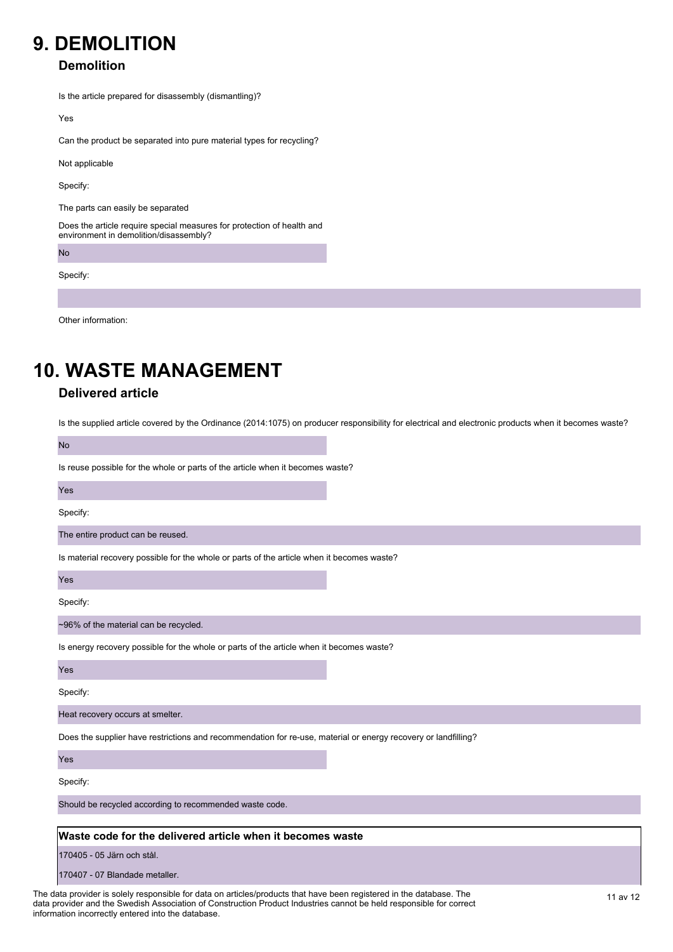## **9. DEMOLITION**

### **Demolition**

Is the article prepared for disassembly (dismantling)?

Yes

Can the product be separated into pure material types for recycling?

Not applicable

Specify:

The parts can easily be separated

Does the article require special measures for protection of health and environment in demolition/disassembly?

No

Specify:

Other information:

# **10. WASTE MANAGEMENT**

### **Delivered article**

Is the supplied article covered by the Ordinance (2014:1075) on producer responsibility for electrical and electronic products when it becomes waste?

| <b>No</b>                                                                                                      |  |
|----------------------------------------------------------------------------------------------------------------|--|
| Is reuse possible for the whole or parts of the article when it becomes waste?                                 |  |
| Yes                                                                                                            |  |
| Specify:                                                                                                       |  |
| The entire product can be reused.                                                                              |  |
| Is material recovery possible for the whole or parts of the article when it becomes waste?                     |  |
| Yes                                                                                                            |  |
| Specify:                                                                                                       |  |
| ~96% of the material can be recycled.                                                                          |  |
| Is energy recovery possible for the whole or parts of the article when it becomes waste?                       |  |
| Yes                                                                                                            |  |
| Specify:                                                                                                       |  |
| Heat recovery occurs at smelter.                                                                               |  |
| Does the supplier have restrictions and recommendation for re-use, material or energy recovery or landfilling? |  |
| Yes                                                                                                            |  |
| Specify:                                                                                                       |  |
| Should be recycled according to recommended waste code.                                                        |  |
| Waste code for the delivered article when it becomes waste                                                     |  |
| 170405 - 05 Järn och stål.                                                                                     |  |
| 170407 - 07 Blandade metaller.                                                                                 |  |
|                                                                                                                |  |

The data provider is solely responsible for data on articles/products that have been registered in the database. The 11 av 12 data provider and the Swedish Association of Construction Product Industries cannot be held responsible for correct information incorrectly entered into the database.